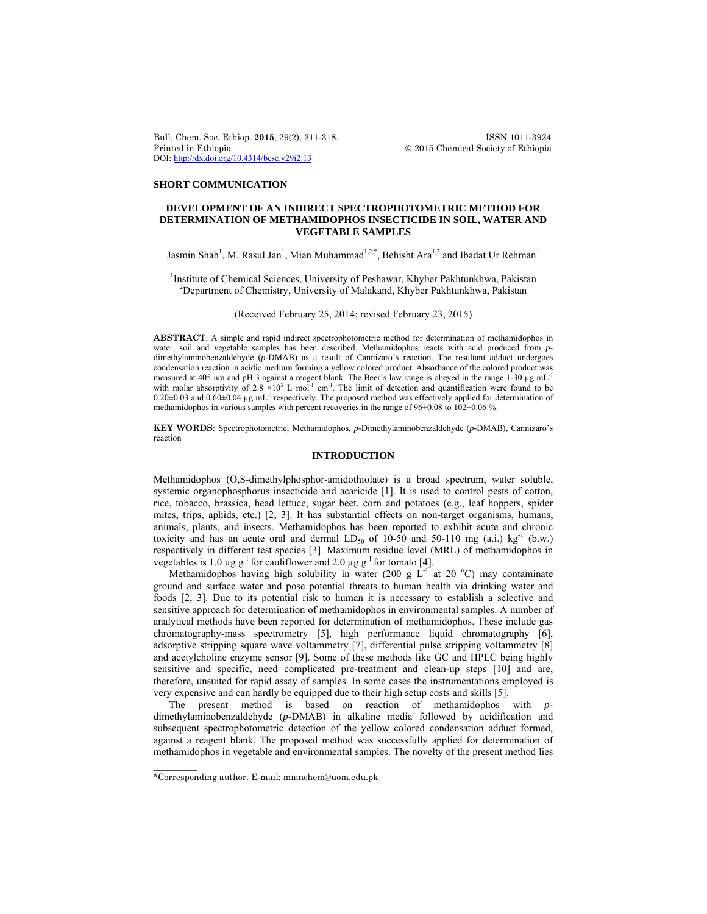Bull. Chem. Soc. Ethiop. **2015**, 29(2), 311-318. ISSN 1011-3924 Printed in Ethiopia 2015 Chemical Society of Ethiopia DOI: http://dx.doi.org/10.4314/bcse.v29i2.13

### **SHORT COMMUNICATION**

# **DEVELOPMENT OF AN INDIRECT SPECTROPHOTOMETRIC METHOD FOR DETERMINATION OF METHAMIDOPHOS INSECTICIDE IN SOIL, WATER AND VEGETABLE SAMPLES**

Jasmin Shah<sup>1</sup>, M. Rasul Jan<sup>1</sup>, Mian Muhammad<sup>1,2,\*</sup>, Behisht Ara<sup>1,2</sup> and Ibadat Ur Rehman<sup>1</sup>

<sup>1</sup>Institute of Chemical Sciences, University of Peshawar, Khyber Pakhtunkhwa, Pakistan <sup>2</sup>Department of Chemictry, University of Melekand Khyber Pakhtunkhwa, Pakistan Department of Chemistry, University of Malakand, Khyber Pakhtunkhwa, Pakistan

## (Received February 25, 2014; revised February 23, 2015)

**ABSTRACT**. A simple and rapid indirect spectrophotometric method for determination of methamidophos in water, soil and vegetable samples has been described. Methamidophos reacts with acid produced from *p*dimethylaminobenzaldehyde (*p*-DMAB) as a result of Cannizaro's reaction. The resultant adduct undergoes condensation reaction in acidic medium forming a yellow colored product. Absorbance of the colored product was measured at 405 nm and pH 3 against a reagent blank. The Beer's law range is obeyed in the range 1-30 µg mL<sup>-1</sup> with molar absorptivity of 2.8  $\times$ 10<sup>3</sup> L mol<sup>-1</sup> cm<sup>-1</sup>. The limit of detection and quantification were found to be 0.20±0.03 and 0.60±0.04 µg mL<sup>-1</sup> respectively. The proposed method was effectively applied for determination of methamidophos in various samples with percent recoveries in the range of 96±0.08 to 102±0.06 %.

**KEY WORDS**: Spectrophotometric, Methamidophos, *p*-Dimethylaminobenzaldehyde (*p*-DMAB), Cannizaro's reaction

# **INTRODUCTION**

Methamidophos (O,S-dimethylphosphor-amidothiolate) is a broad spectrum, water soluble, systemic organophosphorus insecticide and acaricide [1]. It is used to control pests of cotton, rice, tobacco, brassica, head lettuce, sugar beet, corn and potatoes (e.g., leaf hoppers, spider mites, trips, aphids, etc.) [2, 3]. It has substantial effects on non-target organisms, humans, animals, plants, and insects. Methamidophos has been reported to exhibit acute and chronic toxicity and has an acute oral and dermal  $LD_{50}$  of 10-50 and 50-110 mg (a.i.) kg<sup>-1</sup> (b.w.) respectively in different test species [3]. Maximum residue level (MRL) of methamidophos in vegetables is 1.0  $\mu$ g g<sup>-1</sup> for cauliflower and 2.0  $\mu$ g g<sup>-1</sup> for tomato [4].

Methamidophos having high solubility in water (200 g  $L^{-1}$  at 20 °C) may contaminate ground and surface water and pose potential threats to human health via drinking water and foods [2, 3]. Due to its potential risk to human it is necessary to establish a selective and sensitive approach for determination of methamidophos in environmental samples. A number of analytical methods have been reported for determination of methamidophos. These include gas chromatography-mass spectrometry [5], high performance liquid chromatography [6], adsorptive stripping square wave voltammetry [7], differential pulse stripping voltammetry [8] and acetylcholine enzyme sensor [9]. Some of these methods like GC and HPLC being highly sensitive and specific, need complicated pre-treatment and clean-up steps [10] and are, therefore, unsuited for rapid assay of samples. In some cases the instrumentations employed is very expensive and can hardly be equipped due to their high setup costs and skills [5].

The present method is based on reaction of methamidophos with *p*dimethylaminobenzaldehyde (*p*-DMAB) in alkaline media followed by acidification and subsequent spectrophotometric detection of the yellow colored condensation adduct formed, against a reagent blank. The proposed method was successfully applied for determination of methamidophos in vegetable and environmental samples. The novelty of the present method lies

 $\overline{\phantom{a}}$ 

<sup>\*</sup>Corresponding author. E-mail: mianchem@uom.edu.pk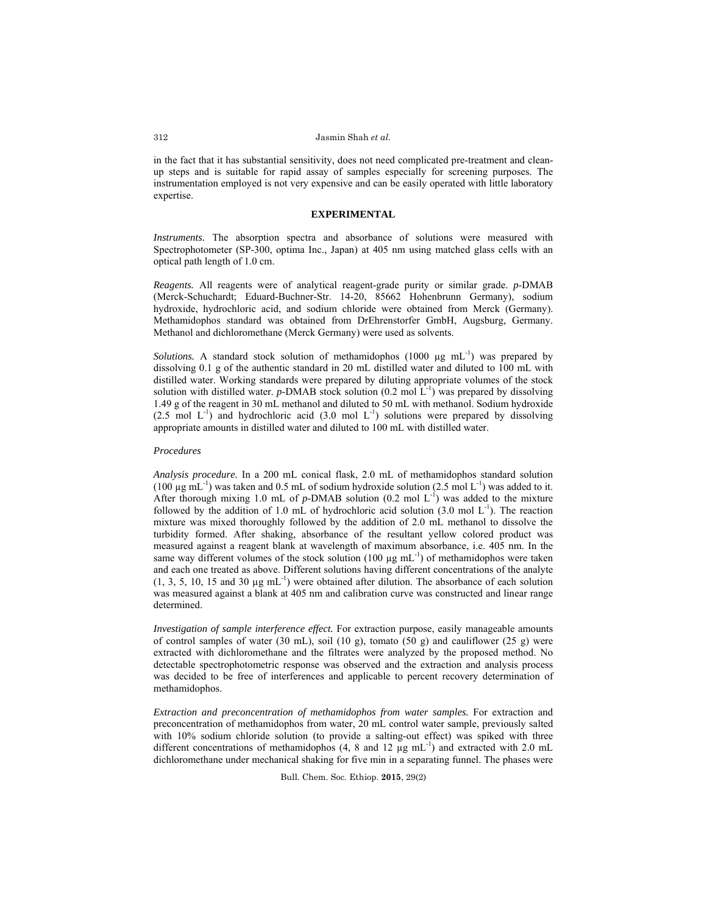in the fact that it has substantial sensitivity, does not need complicated pre-treatment and cleanup steps and is suitable for rapid assay of samples especially for screening purposes. The instrumentation employed is not very expensive and can be easily operated with little laboratory expertise.

## **EXPERIMENTAL**

*Instruments.* The absorption spectra and absorbance of solutions were measured with Spectrophotometer (SP-300, optima Inc., Japan) at 405 nm using matched glass cells with an optical path length of 1.0 cm.

*Reagents.* All reagents were of analytical reagent-grade purity or similar grade. *p*-DMAB (Merck-Schuchardt; Eduard-Buchner-Str. 14-20, 85662 Hohenbrunn Germany), sodium hydroxide, hydrochloric acid, and sodium chloride were obtained from Merck (Germany). Methamidophos standard was obtained from DrEhrenstorfer GmbH, Augsburg, Germany. Methanol and dichloromethane (Merck Germany) were used as solvents.

*Solutions.* A standard stock solution of methamidophos  $(1000 \mu g mL^{-1})$  was prepared by dissolving 0.1 g of the authentic standard in 20 mL distilled water and diluted to 100 mL with distilled water. Working standards were prepared by diluting appropriate volumes of the stock solution with distilled water. *p*-DMAB stock solution  $(0.2 \text{ mol } L^{-1})$  was prepared by dissolving 1.49 g of the reagent in 30 mL methanol and diluted to 50 mL with methanol. Sodium hydroxide  $(2.5 \text{ mol } L^{-1})$  and hydrochloric acid  $(3.0 \text{ mol } L^{-1})$  solutions were prepared by dissolving appropriate amounts in distilled water and diluted to 100 mL with distilled water.

## *Procedures*

*Analysis procedure.* In a 200 mL conical flask, 2.0 mL of methamidophos standard solution (100  $\mu$ g mL<sup>-1</sup>) was taken and 0.5 mL of sodium hydroxide solution (2.5 mol L<sup>-1</sup>) was added to it. After thorough mixing 1.0 mL of  $p$ -DMAB solution (0.2 mol L<sup>-1</sup>) was added to the mixture followed by the addition of 1.0 mL of hydrochloric acid solution  $(3.0 \text{ mol L}^{-1})$ . The reaction mixture was mixed thoroughly followed by the addition of 2.0 mL methanol to dissolve the turbidity formed. After shaking, absorbance of the resultant yellow colored product was measured against a reagent blank at wavelength of maximum absorbance, i.e. 405 nm. In the same way different volumes of the stock solution (100  $\mu$ g mL<sup>-1</sup>) of methamidophos were taken and each one treated as above. Different solutions having different concentrations of the analyte  $(1, 3, 5, 10, 15, \text{ and } 30 \mu \text{g} \text{ mL}^{-1})$  were obtained after dilution. The absorbance of each solution was measured against a blank at 405 nm and calibration curve was constructed and linear range determined.

*Investigation of sample interference effect.* For extraction purpose, easily manageable amounts of control samples of water (30 mL), soil (10 g), tomato (50 g) and cauliflower (25 g) were extracted with dichloromethane and the filtrates were analyzed by the proposed method. No detectable spectrophotometric response was observed and the extraction and analysis process was decided to be free of interferences and applicable to percent recovery determination of methamidophos.

*Extraction and preconcentration of methamidophos from water samples.* For extraction and preconcentration of methamidophos from water, 20 mL control water sample, previously salted with 10% sodium chloride solution (to provide a salting-out effect) was spiked with three different concentrations of methamidophos  $(4, 8 \text{ and } 12 \text{ µg } mL^{-1})$  and extracted with 2.0 mL dichloromethane under mechanical shaking for five min in a separating funnel. The phases were

Bull. Chem. Soc. Ethiop. **2015**, 29(2)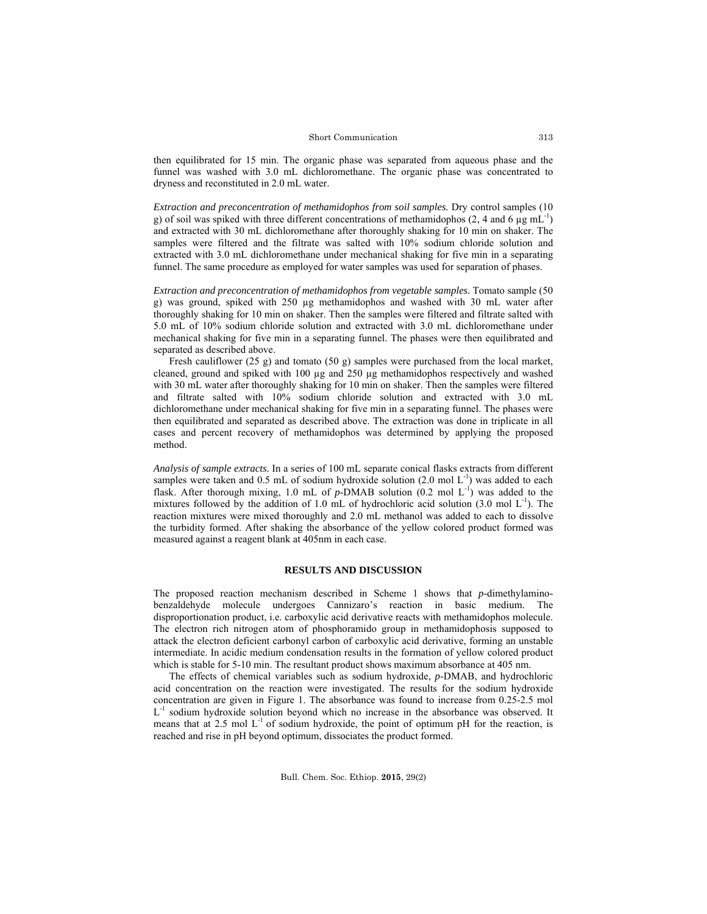#### Short Communication

then equilibrated for 15 min. The organic phase was separated from aqueous phase and the funnel was washed with 3.0 mL dichloromethane. The organic phase was concentrated to dryness and reconstituted in 2.0 mL water.

*Extraction and preconcentration of methamidophos from soil samples.* Dry control samples (10 g) of soil was spiked with three different concentrations of methamidophos (2, 4 and 6  $\mu$ g mL<sup>-1</sup>) and extracted with 30 mL dichloromethane after thoroughly shaking for 10 min on shaker. The samples were filtered and the filtrate was salted with 10% sodium chloride solution and extracted with 3.0 mL dichloromethane under mechanical shaking for five min in a separating funnel. The same procedure as employed for water samples was used for separation of phases.

*Extraction and preconcentration of methamidophos from vegetable samples.* Tomato sample (50 g) was ground, spiked with 250 µg methamidophos and washed with 30 mL water after thoroughly shaking for 10 min on shaker. Then the samples were filtered and filtrate salted with 5.0 mL of 10% sodium chloride solution and extracted with 3.0 mL dichloromethane under mechanical shaking for five min in a separating funnel. The phases were then equilibrated and separated as described above.

Fresh cauliflower (25 g) and tomato (50 g) samples were purchased from the local market, cleaned, ground and spiked with 100 µg and 250 µg methamidophos respectively and washed with 30 mL water after thoroughly shaking for 10 min on shaker. Then the samples were filtered and filtrate salted with 10% sodium chloride solution and extracted with 3.0 mL dichloromethane under mechanical shaking for five min in a separating funnel. The phases were then equilibrated and separated as described above. The extraction was done in triplicate in all cases and percent recovery of methamidophos was determined by applying the proposed method.

*Analysis of sample extracts.* In a series of 100 mL separate conical flasks extracts from different samples were taken and 0.5 mL of sodium hydroxide solution  $(2.0 \text{ mol L}^{-1})$  was added to each flask. After thorough mixing, 1.0 mL of  $p$ -DMAB solution  $(0.2 \text{ mol L}^{-1})$  was added to the mixtures followed by the addition of 1.0 mL of hydrochloric acid solution  $(3.0 \text{ mol L}^{-1})$ . The reaction mixtures were mixed thoroughly and 2.0 mL methanol was added to each to dissolve the turbidity formed. After shaking the absorbance of the yellow colored product formed was measured against a reagent blank at 405nm in each case.

## **RESULTS AND DISCUSSION**

The proposed reaction mechanism described in Scheme 1 shows that *p*-dimethylaminobenzaldehyde molecule undergoes Cannizaro's reaction in basic medium. The disproportionation product, i.e. carboxylic acid derivative reacts with methamidophos molecule. The electron rich nitrogen atom of phosphoramido group in methamidophosis supposed to attack the electron deficient carbonyl carbon of carboxylic acid derivative, forming an unstable intermediate. In acidic medium condensation results in the formation of yellow colored product which is stable for 5-10 min. The resultant product shows maximum absorbance at 405 nm.

The effects of chemical variables such as sodium hydroxide, *p*-DMAB, and hydrochloric acid concentration on the reaction were investigated. The results for the sodium hydroxide concentration are given in Figure 1. The absorbance was found to increase from 0.25-2.5 mol L-1 sodium hydroxide solution beyond which no increase in the absorbance was observed. It means that at 2.5 mol  $L^{-1}$  of sodium hydroxide, the point of optimum pH for the reaction, is reached and rise in pH beyond optimum, dissociates the product formed.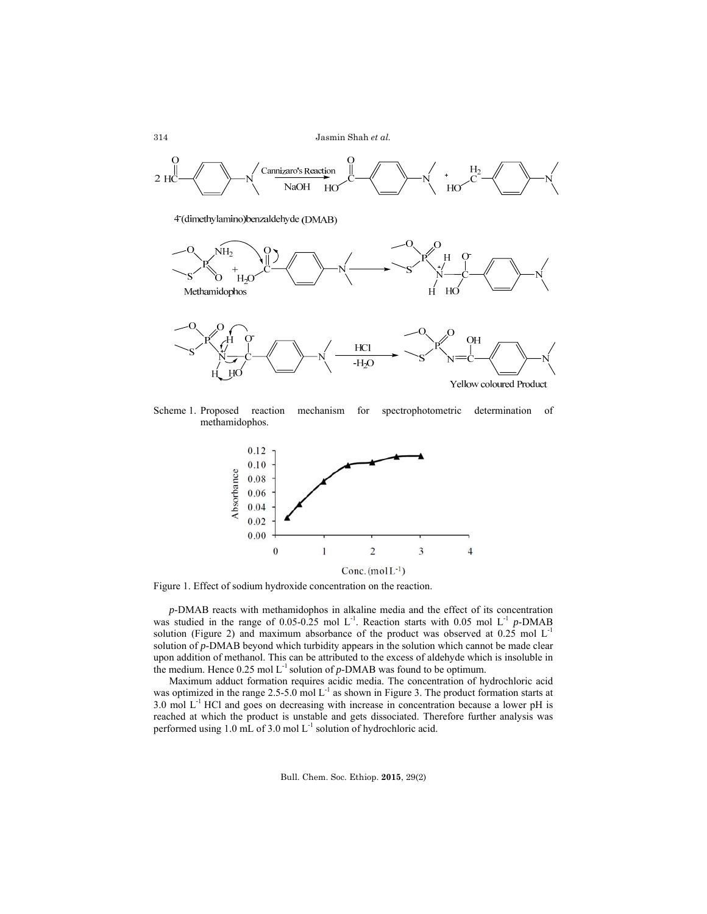

4 (dimethylamino) benzaldehyde (DMAB)



Scheme 1. Proposed reaction mechanism for spectrophotometric determination of methamidophos.



Figure 1. Effect of sodium hydroxide concentration on the reaction.

*p*-DMAB reacts with methamidophos in alkaline media and the effect of its concentration was studied in the range of 0.05-0.25 mol L<sup>-1</sup>. Reaction starts with 0.05 mol L<sup>-1</sup> *p*-DMAB solution (Figure 2) and maximum absorbance of the product was observed at  $0.25$  mol  $L^{-1}$ solution of *p*-DMAB beyond which turbidity appears in the solution which cannot be made clear upon addition of methanol. This can be attributed to the excess of aldehyde which is insoluble in the medium. Hence  $0.25 \text{ mol L}^{-1}$  solution of *p*-DMAB was found to be optimum.

Maximum adduct formation requires acidic media. The concentration of hydrochloric acid was optimized in the range 2.5-5.0 mol  $L^{-1}$  as shown in Figure 3. The product formation starts at 3.0 mol  $L^{-1}$  HCl and goes on decreasing with increase in concentration because a lower pH is reached at which the product is unstable and gets dissociated. Therefore further analysis was performed using  $1.0$  mL of  $3.0$  mol  $L^{-1}$  solution of hydrochloric acid.

Bull. Chem. Soc. Ethiop. **2015**, 29(2)

314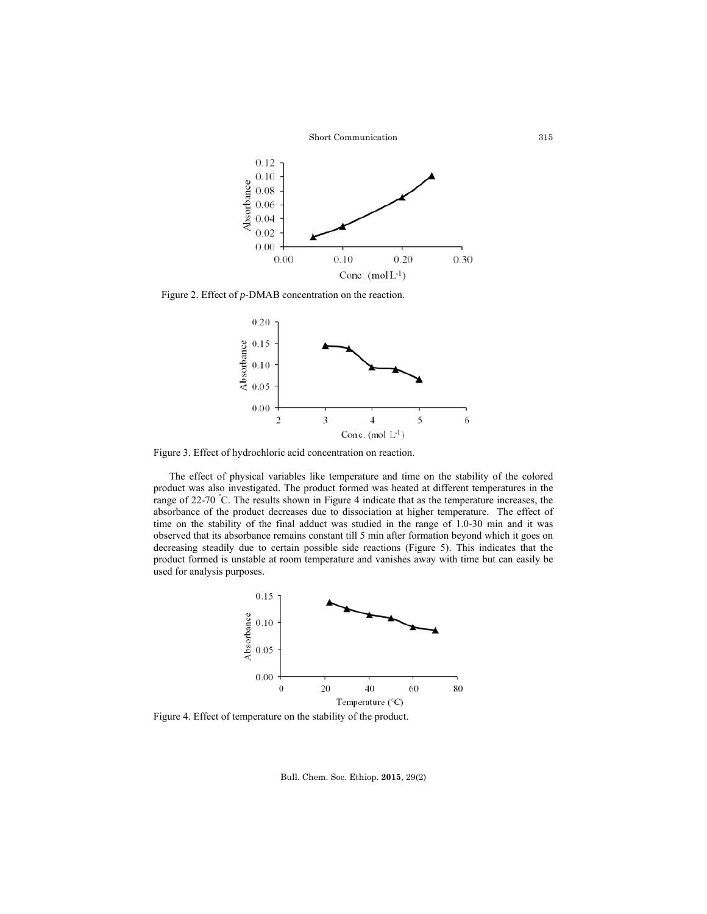

Figure 2. Effect of *p*-DMAB concentration on the reaction.



Figure 3. Effect of hydrochloric acid concentration on reaction.

The effect of physical variables like temperature and time on the stability of the colored product was also investigated. The product formed was heated at different temperatures in the range of 22-70 ° C. The results shown in Figure 4 indicate that as the temperature increases, the absorbance of the product decreases due to dissociation at higher temperature. The effect of time on the stability of the final adduct was studied in the range of 1.0-30 min and it was observed that its absorbance remains constant till 5 min after formation beyond which it goes on decreasing steadily due to certain possible side reactions (Figure 5). This indicates that the product formed is unstable at room temperature and vanishes away with time but can easily be used for analysis purposes.



Figure 4. Effect of temperature on the stability of the product.

Bull. Chem. Soc. Ethiop. **2015**, 29(2)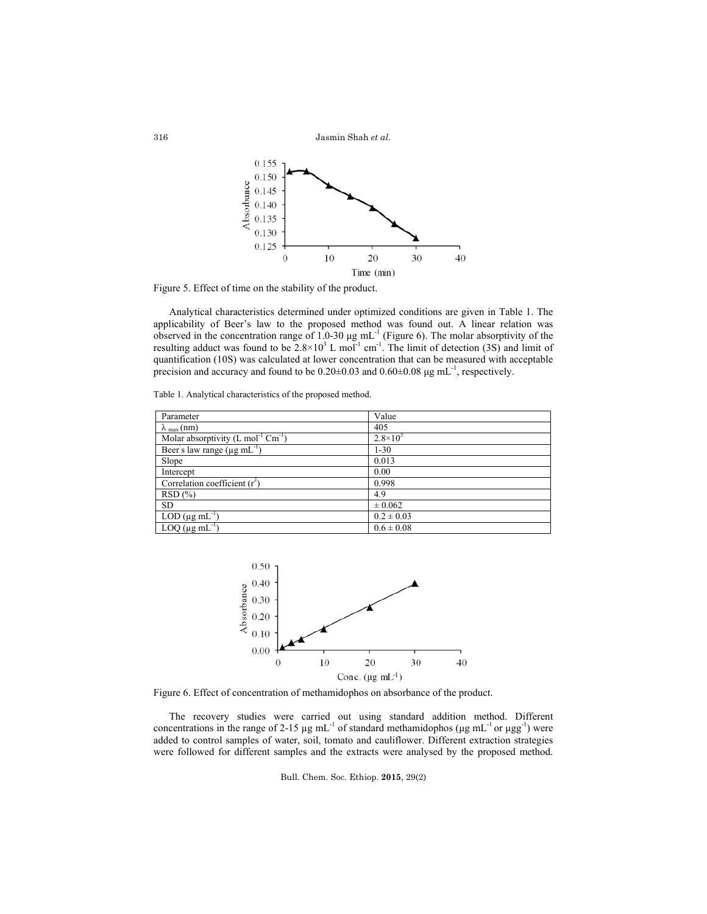Jasmin Shah *et al.*



Figure 5. Effect of time on the stability of the product.

Analytical characteristics determined under optimized conditions are given in Table 1. The applicability of Beer's law to the proposed method was found out. A linear relation was observed in the concentration range of 1.0-30 μg mL<sup>-1</sup> (Figure 6). The molar absorptivity of the resulting adduct was found to be  $2.8 \times 10^3$  L mol<sup>-1</sup> cm<sup>-1</sup>. The limit of detection (3S) and limit of quantification (10S) was calculated at lower concentration that can be measured with acceptable precision and accuracy and found to be  $0.20\pm0.03$  and  $0.60\pm0.08$   $\mu$ g mL<sup>-1</sup>, respectively.

| Table 1. Analytical characteristics of the proposed method. |  |
|-------------------------------------------------------------|--|
|                                                             |  |

| Parameter                                                 | Value             |
|-----------------------------------------------------------|-------------------|
| $\lambda_{\text{max}}$ (nm)                               | 405               |
| Molar absorptivity $(L \text{ mol}^{-1} \text{ Cm}^{-1})$ | $2.8 \times 10^3$ |
| Beer's law range $(\mu g \, mL^{-1})$                     | $1 - 30$          |
| Slope                                                     | 0.013             |
| Intercept                                                 | 0.00              |
| Correlation coefficient $(r^2)$                           | 0.998             |
| RSD(%)                                                    | 4.9               |
| <b>SD</b>                                                 | $\pm 0.062$       |
| LOD ( $\mu$ g mL <sup>-1</sup> )                          | $0.2 \pm 0.03$    |
| $\overline{LOQ}$ (µg mL <sup>-1</sup>                     | $0.6 \pm 0.08$    |



Figure 6. Effect of concentration of methamidophos on absorbance of the product.

The recovery studies were carried out using standard addition method. Different concentrations in the range of 2-15  $\mu$ g mL<sup>-1</sup> of standard methamidophos ( $\mu$ g mL<sup>-1</sup> or  $\mu$ gg<sup>-1</sup>) were added to control samples of water, soil, tomato and cauliflower. Different extraction strategies were followed for different samples and the extracts were analysed by the proposed method.

Bull. Chem. Soc. Ethiop. **2015**, 29(2)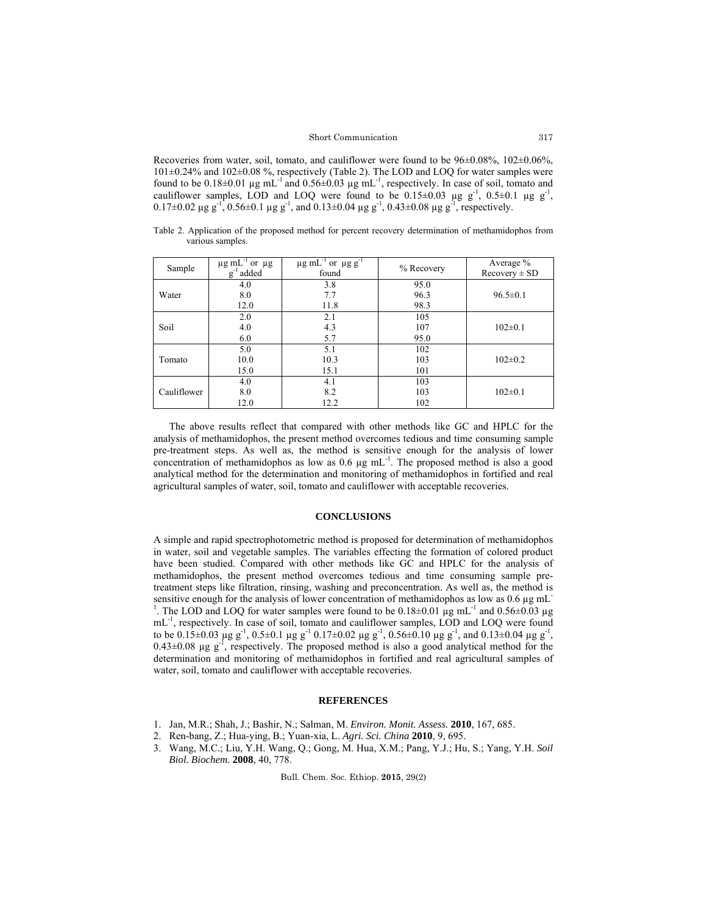## Short Communication

Recoveries from water, soil, tomato, and cauliflower were found to be 96±0.08%, 102±0.06%, 101±0.24% and 102±0.08 %, respectively (Table 2). The LOD and LOQ for water samples were found to be  $0.18\pm0.01$  µg mL<sup>-1</sup> and  $0.56\pm0.03$  µg mL<sup>-1</sup>, respectively. In case of soil, tomato and cauliflower samples, LOD and LOQ were found to be  $0.15\pm0.03$  µg g<sup>-1</sup>,  $0.5\pm0.1$  µg g<sup>-1</sup>, 0.17 $\pm$ 0.02  $\mu$ g g<sup>-1</sup>, 0.56 $\pm$ 0.1  $\mu$ g g<sup>-1</sup>, and 0.13 $\pm$ 0.04  $\mu$ g g<sup>-1</sup>, 0.43 $\pm$ 0.08  $\mu$ g g<sup>-1</sup>, respectively.

Table 2. Application of the proposed method for percent recovery determination of methamidophos from various samples.

| Sample      | $\mu$ g mL <sup>-1</sup> or $\mu$ g<br>$g^{-1}$ added | $\mu$ g mL <sup>-1</sup> or $\mu$ g g <sup>-1</sup><br>found | % Recovery | Average %<br>$Recovery \pm SD$ |
|-------------|-------------------------------------------------------|--------------------------------------------------------------|------------|--------------------------------|
|             | 4.0                                                   | 3.8                                                          | 95.0       |                                |
| Water       | 8.0                                                   | 7.7                                                          | 96.3       | $96.5 \pm 0.1$                 |
|             | 12.0                                                  | 11.8                                                         | 98.3       |                                |
| Soil        | 2.0                                                   | 2.1                                                          | 105        |                                |
|             | 4.0                                                   | 4.3                                                          | 107        | $102 \pm 0.1$                  |
|             | 6.0                                                   | 5.7                                                          | 95.0       |                                |
| Tomato      | 5.0                                                   | 5.1                                                          | 102        |                                |
|             | 10.0                                                  | 10.3                                                         | 103        | $102 \pm 0.2$                  |
|             | 15.0                                                  | 15.1                                                         | 101        |                                |
| Cauliflower | 4.0                                                   | 4.1                                                          | 103        |                                |
|             | 8.0                                                   | 8.2                                                          | 103        | $102 \pm 0.1$                  |
|             | 12.0                                                  | 12.2                                                         | 102        |                                |

The above results reflect that compared with other methods like GC and HPLC for the analysis of methamidophos, the present method overcomes tedious and time consuming sample pre-treatment steps. As well as, the method is sensitive enough for the analysis of lower concentration of methamidophos as low as  $0.6 \mu g$  mL $^{-1}$ . The proposed method is also a good analytical method for the determination and monitoring of methamidophos in fortified and real agricultural samples of water, soil, tomato and cauliflower with acceptable recoveries.

## **CONCLUSIONS**

A simple and rapid spectrophotometric method is proposed for determination of methamidophos in water, soil and vegetable samples. The variables effecting the formation of colored product have been studied. Compared with other methods like GC and HPLC for the analysis of methamidophos, the present method overcomes tedious and time consuming sample pretreatment steps like filtration, rinsing, washing and preconcentration. As well as, the method is sensitive enough for the analysis of lower concentration of methamidophos as low as  $0.6 \mu g$  mL<sup>-</sup> <sup>1</sup>. The LOD and LOQ for water samples were found to be  $0.18\pm0.01$  µg mL<sup>-1</sup> and  $0.56\pm0.03$  µg mL-1, respectively. In case of soil, tomato and cauliflower samples, LOD and LOQ were found to be 0.15±0.03  $\mu$ g g<sup>-1</sup>, 0.5±0.1  $\mu$ g g<sup>-1</sup> 0.17±0.02  $\mu$ g g<sup>-1</sup>, 0.56±0.10  $\mu$ g g<sup>-1</sup>, and 0.13±0.04  $\mu$ g g<sup>-1</sup>,  $0.43\pm0.08$  µg g<sup>-1</sup>, respectively. The proposed method is also a good analytical method for the determination and monitoring of methamidophos in fortified and real agricultural samples of water, soil, tomato and cauliflower with acceptable recoveries.

#### **REFERENCES**

- 1. Jan, M.R.; Shah, J.; Bashir, N.; Salman, M. *Environ. Monit. Assess.* **2010**, 167, 685.
- 2. Ren-bang, Z.; Hua-ying, B.; Yuan-xia, L. *Agri. Sci. China* **2010**, 9, 695.
- 3. Wang, M.C.; Liu, Y.H. Wang, Q.; Gong, M. Hua, X.M.; Pang, Y.J.; Hu, S.; Yang, Y.H. *Soil Biol. Biochem.* **2008**, 40, 778.

Bull. Chem. Soc. Ethiop. **2015**, 29(2)